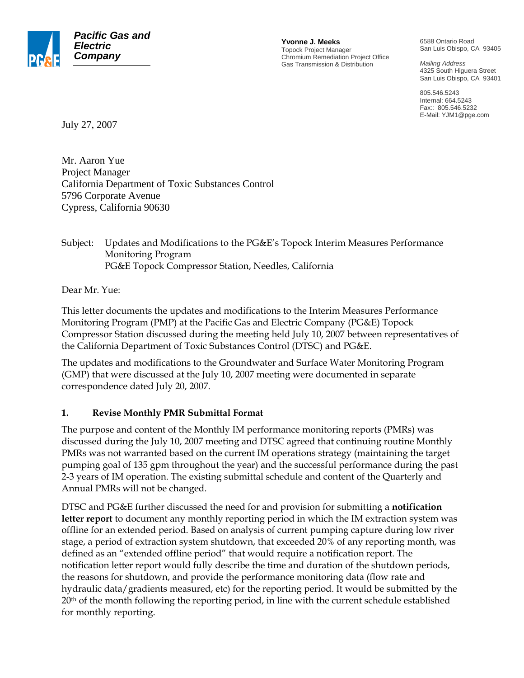

**Yvonne J. Meeks** Topock Project Manager Chromium Remediation Project Office Gas Transmission & Distribution

6588 Ontario Road San Luis Obispo, CA 93405

*Mailing Address*  4325 South Higuera Street San Luis Obispo, CA 93401

805.546.5243 Internal: 664.5243 Fax:: 805.546.5232 E-Mail: YJM1@pge.com

July 27, 2007

Mr. Aaron Yue Project Manager California Department of Toxic Substances Control 5796 Corporate Avenue Cypress, California 90630

Subject: Updates and Modifications to the PG&E's Topock Interim Measures Performance Monitoring Program PG&E Topock Compressor Station, Needles, California

Dear Mr. Yue:

This letter documents the updates and modifications to the Interim Measures Performance Monitoring Program (PMP) at the Pacific Gas and Electric Company (PG&E) Topock Compressor Station discussed during the meeting held July 10, 2007 between representatives of the California Department of Toxic Substances Control (DTSC) and PG&E.

The updates and modifications to the Groundwater and Surface Water Monitoring Program (GMP) that were discussed at the July 10, 2007 meeting were documented in separate correspondence dated July 20, 2007.

## **1. Revise Monthly PMR Submittal Format**

The purpose and content of the Monthly IM performance monitoring reports (PMRs) was discussed during the July 10, 2007 meeting and DTSC agreed that continuing routine Monthly PMRs was not warranted based on the current IM operations strategy (maintaining the target pumping goal of 135 gpm throughout the year) and the successful performance during the past 2-3 years of IM operation. The existing submittal schedule and content of the Quarterly and Annual PMRs will not be changed.

DTSC and PG&E further discussed the need for and provision for submitting a **notification letter report** to document any monthly reporting period in which the IM extraction system was offline for an extended period. Based on analysis of current pumping capture during low river stage, a period of extraction system shutdown, that exceeded 20% of any reporting month, was defined as an "extended offline period" that would require a notification report. The notification letter report would fully describe the time and duration of the shutdown periods, the reasons for shutdown, and provide the performance monitoring data (flow rate and hydraulic data/gradients measured, etc) for the reporting period. It would be submitted by the  $20<sup>th</sup>$  of the month following the reporting period, in line with the current schedule established for monthly reporting.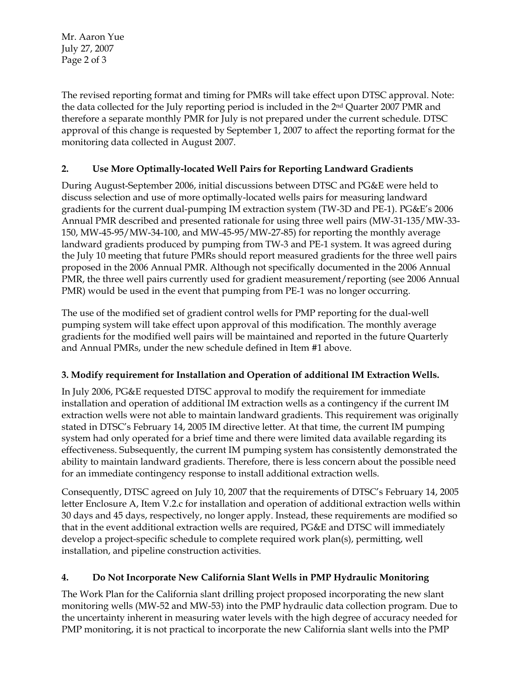Mr. Aaron Yue July 27, 2007 Page 2 of 3

The revised reporting format and timing for PMRs will take effect upon DTSC approval. Note: the data collected for the July reporting period is included in the 2nd Quarter 2007 PMR and therefore a separate monthly PMR for July is not prepared under the current schedule. DTSC approval of this change is requested by September 1, 2007 to affect the reporting format for the monitoring data collected in August 2007.

## **2. Use More Optimally-located Well Pairs for Reporting Landward Gradients**

During August-September 2006, initial discussions between DTSC and PG&E were held to discuss selection and use of more optimally-located wells pairs for measuring landward gradients for the current dual-pumping IM extraction system (TW-3D and PE-1). PG&E's 2006 Annual PMR described and presented rationale for using three well pairs (MW-31-135/MW-33- 150, MW-45-95/MW-34-100, and MW-45-95/MW-27-85) for reporting the monthly average landward gradients produced by pumping from TW-3 and PE-1 system. It was agreed during the July 10 meeting that future PMRs should report measured gradients for the three well pairs proposed in the 2006 Annual PMR. Although not specifically documented in the 2006 Annual PMR, the three well pairs currently used for gradient measurement/reporting (see 2006 Annual PMR) would be used in the event that pumping from PE-1 was no longer occurring.

The use of the modified set of gradient control wells for PMP reporting for the dual-well pumping system will take effect upon approval of this modification. The monthly average gradients for the modified well pairs will be maintained and reported in the future Quarterly and Annual PMRs, under the new schedule defined in Item #1 above.

## **3. Modify requirement for Installation and Operation of additional IM Extraction Wells.**

In July 2006, PG&E requested DTSC approval to modify the requirement for immediate installation and operation of additional IM extraction wells as a contingency if the current IM extraction wells were not able to maintain landward gradients. This requirement was originally stated in DTSC's February 14, 2005 IM directive letter. At that time, the current IM pumping system had only operated for a brief time and there were limited data available regarding its effectiveness. Subsequently, the current IM pumping system has consistently demonstrated the ability to maintain landward gradients. Therefore, there is less concern about the possible need for an immediate contingency response to install additional extraction wells.

Consequently, DTSC agreed on July 10, 2007 that the requirements of DTSC's February 14, 2005 letter Enclosure A, Item V.2.c for installation and operation of additional extraction wells within 30 days and 45 days, respectively, no longer apply. Instead, these requirements are modified so that in the event additional extraction wells are required, PG&E and DTSC will immediately develop a project-specific schedule to complete required work plan(s), permitting, well installation, and pipeline construction activities.

## **4. Do Not Incorporate New California Slant Wells in PMP Hydraulic Monitoring**

The Work Plan for the California slant drilling project proposed incorporating the new slant monitoring wells (MW-52 and MW-53) into the PMP hydraulic data collection program. Due to the uncertainty inherent in measuring water levels with the high degree of accuracy needed for PMP monitoring, it is not practical to incorporate the new California slant wells into the PMP